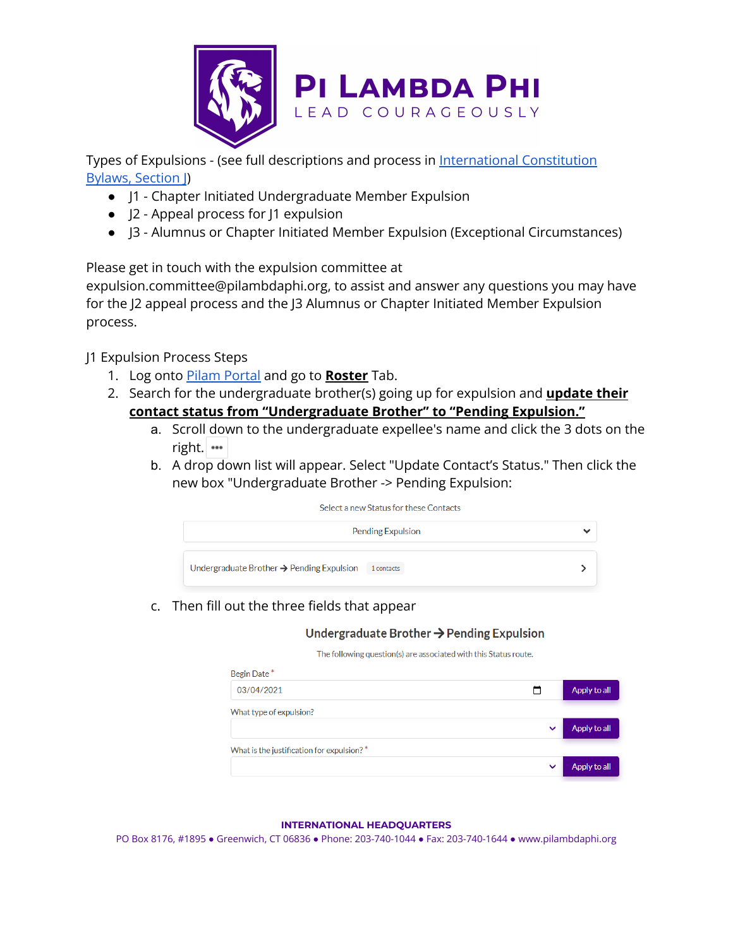

Types of Expulsions - (see full descriptions and process in [International](https://www.pilambdaphi.org/wp-content/uploads/2021/09/The-Constitution-Bylaws-of-Pi-Lambda-Phi-Fraternity-cao-2021-08-29.pdf) Constitution [Bylaws,](https://www.pilambdaphi.org/wp-content/uploads/2021/09/The-Constitution-Bylaws-of-Pi-Lambda-Phi-Fraternity-cao-2021-08-29.pdf) Section J)

- J1 Chapter Initiated Undergraduate Member Expulsion
- J2 Appeal process for J1 expulsion
- J3 Alumnus or Chapter Initiated Member Expulsion (Exceptional Circumstances)

Please get in touch with the expulsion committee at

expulsion.committee@pilambdaphi.org, to assist and answer any questions you may have for the J2 appeal process and the J3 Alumnus or Chapter Initiated Member Expulsion process.

J1 Expulsion Process Steps

- 1. Log onto Pilam [Portal](http://login.pilambdaphi.org/) and go to **Roster** Tab.
- 2. Search for the undergraduate brother(s) going up for expulsion and **update their contact status from "Undergraduate Brother" to "Pending Expulsion."**
	- a. Scroll down to the undergraduate expellee's name and click the 3 dots on the right.
	- b. A drop down list will appear. Select "Update Contact's Status." Then click the new box "Undergraduate Brother -> Pending Expulsion:



c. Then fill out the three fields that appear

## Undergraduate Brother  $\rightarrow$  Pending Expulsion

The following question(s) are associated with this Status route.

| Begin Date*                               |              |              |
|-------------------------------------------|--------------|--------------|
| 03/04/2021                                |              | Apply to all |
| What type of expulsion?                   |              |              |
|                                           | $\checkmark$ | Apply to all |
| What is the justification for expulsion?* |              |              |
|                                           | $\checkmark$ | Apply to all |
|                                           |              |              |

## **INTERNATIONAL HEADQUARTERS**

PO Box 8176, #1895 ● Greenwich, CT 06836 ● Phone: 203-740-1044 ● Fax: 203-740-1644 ● www.pilambdaphi.org